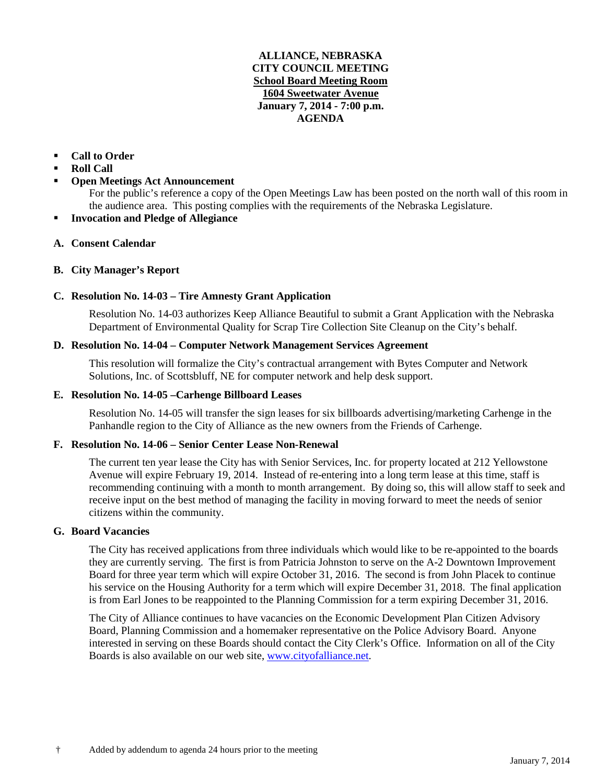## **ALLIANCE, NEBRASKA CITY COUNCIL MEETING School Board Meeting Room 1604 Sweetwater Avenue January 7, 2014 - 7:00 p.m. AGENDA**

## **Call to Order**

- **Roll Call**
- **Open Meetings Act Announcement**

For the public's reference a copy of the Open Meetings Law has been posted on the north wall of this room in the audience area. This posting complies with the requirements of the Nebraska Legislature.

**Invocation and Pledge of Allegiance**

# **A. Consent Calendar**

## **B. City Manager's Report**

# **C. Resolution No. 14-03 – Tire Amnesty Grant Application**

Resolution No. 14-03 authorizes Keep Alliance Beautiful to submit a Grant Application with the Nebraska Department of Environmental Quality for Scrap Tire Collection Site Cleanup on the City's behalf.

## **D. Resolution No. 14-04 – Computer Network Management Services Agreement**

This resolution will formalize the City's contractual arrangement with Bytes Computer and Network Solutions, Inc. of Scottsbluff, NE for computer network and help desk support.

## **E. Resolution No. 14-05 –Carhenge Billboard Leases**

Resolution No. 14-05 will transfer the sign leases for six billboards advertising/marketing Carhenge in the Panhandle region to the City of Alliance as the new owners from the Friends of Carhenge.

## **F. Resolution No. 14-06 – Senior Center Lease Non-Renewal**

The current ten year lease the City has with Senior Services, Inc. for property located at 212 Yellowstone Avenue will expire February 19, 2014. Instead of re-entering into a long term lease at this time, staff is recommending continuing with a month to month arrangement. By doing so, this will allow staff to seek and receive input on the best method of managing the facility in moving forward to meet the needs of senior citizens within the community.

#### **G. Board Vacancies**

The City has received applications from three individuals which would like to be re-appointed to the boards they are currently serving. The first is from Patricia Johnston to serve on the A-2 Downtown Improvement Board for three year term which will expire October 31, 2016. The second is from John Placek to continue his service on the Housing Authority for a term which will expire December 31, 2018. The final application is from Earl Jones to be reappointed to the Planning Commission for a term expiring December 31, 2016.

The City of Alliance continues to have vacancies on the Economic Development Plan Citizen Advisory Board, Planning Commission and a homemaker representative on the Police Advisory Board. Anyone interested in serving on these Boards should contact the City Clerk's Office. Information on all of the City Boards is also available on our web site, [www.cityofalliance.net.](http://www.cityofalliance.net/)